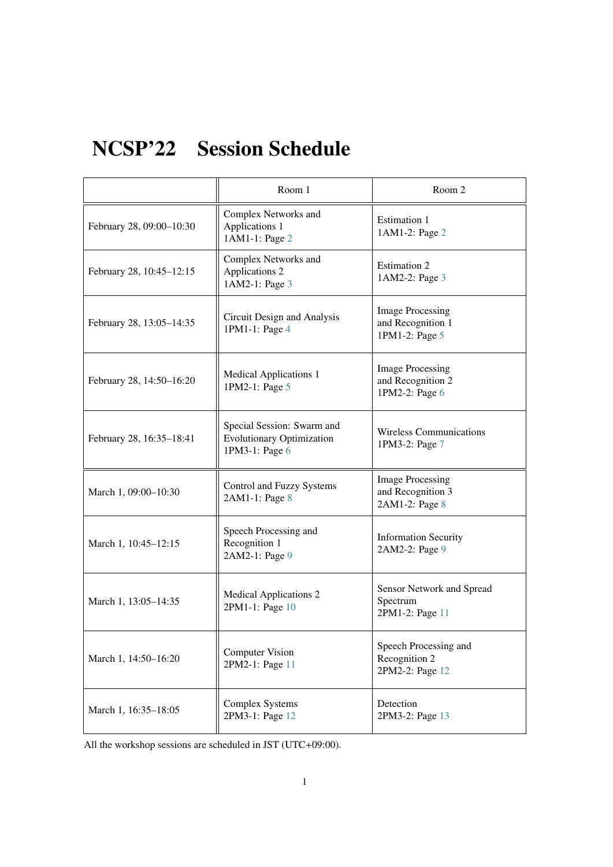# NCSP'22 Session Schedule

|                          | Room 1                                                                           | Room 2                                                         |
|--------------------------|----------------------------------------------------------------------------------|----------------------------------------------------------------|
| February 28, 09:00-10:30 | Complex Networks and<br>Applications 1<br>1AM1-1: Page 2                         | Estimation 1<br>1AM1-2: Page 2                                 |
| February 28, 10:45-12:15 | Complex Networks and<br>Applications 2<br>1AM2-1: Page 3                         | Estimation 2<br>1AM2-2: Page 3                                 |
| February 28, 13:05-14:35 | Circuit Design and Analysis<br>1PM1-1: Page 4                                    | <b>Image Processing</b><br>and Recognition 1<br>1PM1-2: Page 5 |
| February 28, 14:50-16:20 | <b>Medical Applications 1</b><br>1PM2-1: Page 5                                  | <b>Image Processing</b><br>and Recognition 2<br>1PM2-2: Page 6 |
| February 28, 16:35-18:41 | Special Session: Swarm and<br><b>Evolutionary Optimization</b><br>1PM3-1: Page 6 | <b>Wireless Communications</b><br>1PM3-2: Page 7               |
| March 1, 09:00-10:30     | Control and Fuzzy Systems<br>2AM1-1: Page 8                                      | <b>Image Processing</b><br>and Recognition 3<br>2AM1-2: Page 8 |
| March 1, 10:45-12:15     | Speech Processing and<br>Recognition 1<br>2AM2-1: Page 9                         | <b>Information Security</b><br>2AM2-2: Page 9                  |
| March 1, 13:05-14:35     | <b>Medical Applications 2</b><br>2PM1-1: Page 10                                 | Sensor Network and Spread<br>Spectrum<br>2PM1-2: Page 11       |
| March 1, 14:50-16:20     | <b>Computer Vision</b><br>2PM2-1: Page 11                                        | Speech Processing and<br>Recognition 2<br>2PM2-2: Page 12      |
| March 1, 16:35-18:05     | <b>Complex Systems</b><br>2PM3-1: Page 12                                        | Detection<br>2PM3-2: Page 13                                   |

All the workshop sessions are scheduled in JST (UTC+09:00).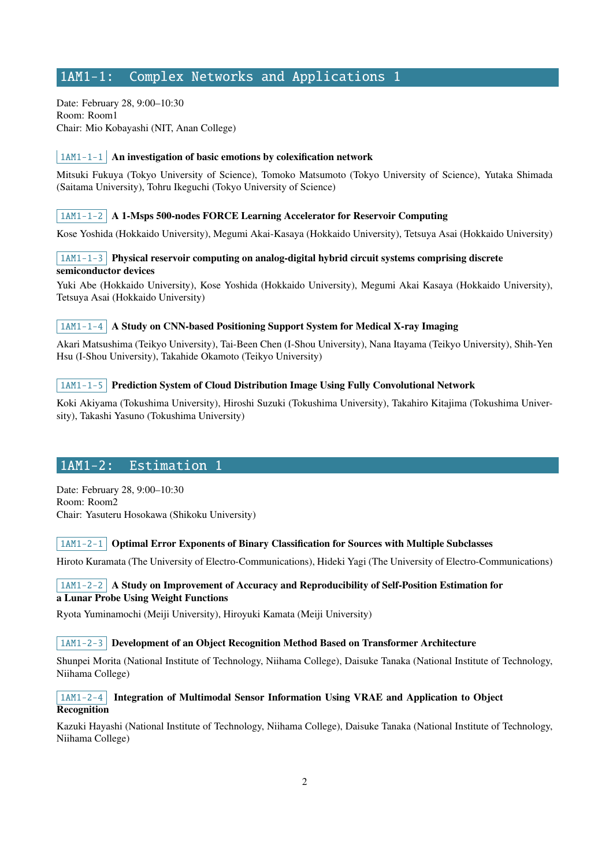# <span id="page-1-0"></span>1AM1-1: Complex Networks and Applications 1

Date: February 28, 9:00–10:30 Room: Room1 Chair: Mio Kobayashi (NIT, Anan College)

#### $\vert$  1AM1-1-1  $\vert$  An investigation of basic emotions by colexification network

Mitsuki Fukuya (Tokyo University of Science), Tomoko Matsumoto (Tokyo University of Science), Yutaka Shimada (Saitama University), Tohru Ikeguchi (Tokyo University of Science)

#### $\mid$  1AM1-1-2  $\mid$  A 1-Msps 500-nodes FORCE Learning Accelerator for Reservoir Computing

Kose Yoshida (Hokkaido University), Megumi Akai-Kasaya (Hokkaido University), Tetsuya Asai (Hokkaido University)

# 1AM1-1-3 Physical reservoir computing on analog-digital hybrid circuit systems comprising discrete semiconductor devices

Yuki Abe (Hokkaido University), Kose Yoshida (Hokkaido University), Megumi Akai Kasaya (Hokkaido University), Tetsuya Asai (Hokkaido University)

#### $\vert$  1AM1-1-4  $\vert$  A Study on CNN-based Positioning Support System for Medical X-ray Imaging

Akari Matsushima (Teikyo University), Tai-Been Chen (I-Shou University), Nana Itayama (Teikyo University), Shih-Yen Hsu (I-Shou University), Takahide Okamoto (Teikyo University)

#### 1AM1-1-5 Prediction System of Cloud Distribution Image Using Fully Convolutional Network

Koki Akiyama (Tokushima University), Hiroshi Suzuki (Tokushima University), Takahiro Kitajima (Tokushima University), Takashi Yasuno (Tokushima University)

## <span id="page-1-1"></span>1AM1-2: Estimation

Date: February 28, 9:00–10:30 Room: Room2 Chair: Yasuteru Hosokawa (Shikoku University)

#### 1AM1-2-1 Optimal Error Exponents of Binary Classification for Sources with Multiple Subclasses

Hiroto Kuramata (The University of Electro-Communications), Hideki Yagi (The University of Electro-Communications)

## $\vert$  1AM1-2-2  $\vert$  A Study on Improvement of Accuracy and Reproducibility of Self-Position Estimation for a Lunar Probe Using Weight Functions

Ryota Yuminamochi (Meiji University), Hiroyuki Kamata (Meiji University)

#### $1AM1-2-3$  Development of an Object Recognition Method Based on Transformer Architecture

Shunpei Morita (National Institute of Technology, Niihama College), Daisuke Tanaka (National Institute of Technology, Niihama College)

#### 1AM1-2-4 Integration of Multimodal Sensor Information Using VRAE and Application to Object Recognition

Kazuki Hayashi (National Institute of Technology, Niihama College), Daisuke Tanaka (National Institute of Technology, Niihama College)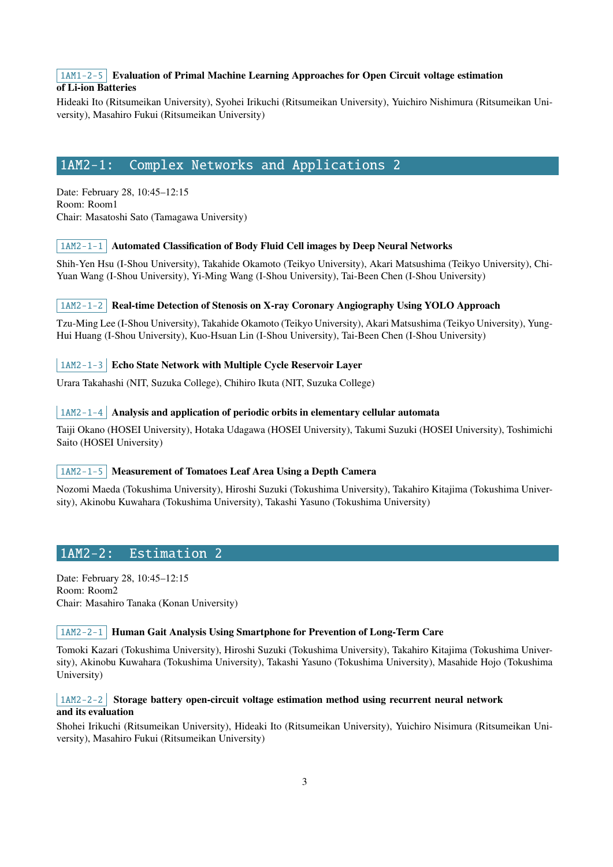# $1AM1-2-5$  Evaluation of Primal Machine Learning Approaches for Open Circuit voltage estimation of Li-ion Batteries

Hideaki Ito (Ritsumeikan University), Syohei Irikuchi (Ritsumeikan University), Yuichiro Nishimura (Ritsumeikan University), Masahiro Fukui (Ritsumeikan University)

# <span id="page-2-0"></span>1AM2-1: Complex Networks and Applications 2

Date: February 28, 10:45–12:15 Room: Room1 Chair: Masatoshi Sato (Tamagawa University)

## $\vert$  1AM2-1-1 Automated Classification of Body Fluid Cell images by Deep Neural Networks

Shih-Yen Hsu (I-Shou University), Takahide Okamoto (Teikyo University), Akari Matsushima (Teikyo University), Chi-Yuan Wang (I-Shou University), Yi-Ming Wang (I-Shou University), Tai-Been Chen (I-Shou University)

## 1AM2-1-2 Real-time Detection of Stenosis on X-ray Coronary Angiography Using YOLO Approach

Tzu-Ming Lee (I-Shou University), Takahide Okamoto (Teikyo University), Akari Matsushima (Teikyo University), Yung-Hui Huang (I-Shou University), Kuo-Hsuan Lin (I-Shou University), Tai-Been Chen (I-Shou University)

## 1AM2-1-3 Echo State Network with Multiple Cycle Reservoir Layer

Urara Takahashi (NIT, Suzuka College), Chihiro Ikuta (NIT, Suzuka College)

#### $\vert$  1AM2-1-4 Analysis and application of periodic orbits in elementary cellular automata

Taiji Okano (HOSEI University), Hotaka Udagawa (HOSEI University), Takumi Suzuki (HOSEI University), Toshimichi Saito (HOSEI University)

#### 1AM2-1-5 Measurement of Tomatoes Leaf Area Using a Depth Camera

Nozomi Maeda (Tokushima University), Hiroshi Suzuki (Tokushima University), Takahiro Kitajima (Tokushima University), Akinobu Kuwahara (Tokushima University), Takashi Yasuno (Tokushima University)

# <span id="page-2-1"></span>1AM2-2: Estimation 2

Date: February 28, 10:45–12:15 Room: Room2 Chair: Masahiro Tanaka (Konan University)

#### $\lceil 1AM2-2-1 \rceil$  Human Gait Analysis Using Smartphone for Prevention of Long-Term Care

Tomoki Kazari (Tokushima University), Hiroshi Suzuki (Tokushima University), Takahiro Kitajima (Tokushima University), Akinobu Kuwahara (Tokushima University), Takashi Yasuno (Tokushima University), Masahide Hojo (Tokushima University)

#### $1AM2-2-2$  Storage battery open-circuit voltage estimation method using recurrent neural network and its evaluation

Shohei Irikuchi (Ritsumeikan University), Hideaki Ito (Ritsumeikan University), Yuichiro Nisimura (Ritsumeikan University), Masahiro Fukui (Ritsumeikan University)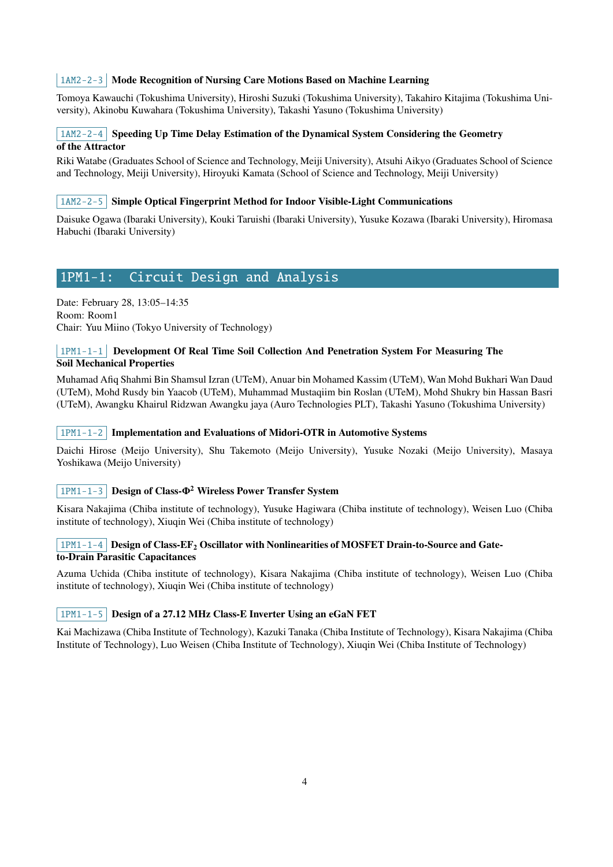# 1AM2-2-3 Mode Recognition of Nursing Care Motions Based on Machine Learning

Tomoya Kawauchi (Tokushima University), Hiroshi Suzuki (Tokushima University), Takahiro Kitajima (Tokushima University), Akinobu Kuwahara (Tokushima University), Takashi Yasuno (Tokushima University)

# $1AM2-2-4$  Speeding Up Time Delay Estimation of the Dynamical System Considering the Geometry of the Attractor

Riki Watabe (Graduates School of Science and Technology, Meiji University), Atsuhi Aikyo (Graduates School of Science and Technology, Meiji University), Hiroyuki Kamata (School of Science and Technology, Meiji University)

#### $\mid$  1AM2-2-5 Simple Optical Fingerprint Method for Indoor Visible-Light Communications

Daisuke Ogawa (Ibaraki University), Kouki Taruishi (Ibaraki University), Yusuke Kozawa (Ibaraki University), Hiromasa Habuchi (Ibaraki University)

# <span id="page-3-0"></span>1PM1-1: Circuit Design and Analysis

Date: February 28, 13:05–14:35 Room: Room1 Chair: Yuu Miino (Tokyo University of Technology)

# 1PM1-1-1 Development Of Real Time Soil Collection And Penetration System For Measuring The Soil Mechanical Properties

Muhamad Afiq Shahmi Bin Shamsul Izran (UTeM), Anuar bin Mohamed Kassim (UTeM), Wan Mohd Bukhari Wan Daud (UTeM), Mohd Rusdy bin Yaacob (UTeM), Muhammad Mustaqiim bin Roslan (UTeM), Mohd Shukry bin Hassan Basri (UTeM), Awangku Khairul Ridzwan Awangku jaya (Auro Technologies PLT), Takashi Yasuno (Tokushima University)

#### $\vert$  1PM1-1-2 Implementation and Evaluations of Midori-OTR in Automotive Systems

Daichi Hirose (Meijo University), Shu Takemoto (Meijo University), Yusuke Nozaki (Meijo University), Masaya Yoshikawa (Meijo University)

## 1PM1-1-3 Design of Class- $\Phi^2$  Wireless Power Transfer System

Kisara Nakajima (Chiba institute of technology), Yusuke Hagiwara (Chiba institute of technology), Weisen Luo (Chiba institute of technology), Xiuqin Wei (Chiba institute of technology)

#### $1$ PM1-1-4 Design of Class-EF<sub>2</sub> Oscillator with Nonlinearities of MOSFET Drain-to-Source and Gateto-Drain Parasitic Capacitances

Azuma Uchida (Chiba institute of technology), Kisara Nakajima (Chiba institute of technology), Weisen Luo (Chiba institute of technology), Xiuqin Wei (Chiba institute of technology)

## 1PM1-1-5 Design of a 27.12 MHz Class-E Inverter Using an eGaN FET

Kai Machizawa (Chiba Institute of Technology), Kazuki Tanaka (Chiba Institute of Technology), Kisara Nakajima (Chiba Institute of Technology), Luo Weisen (Chiba Institute of Technology), Xiuqin Wei (Chiba Institute of Technology)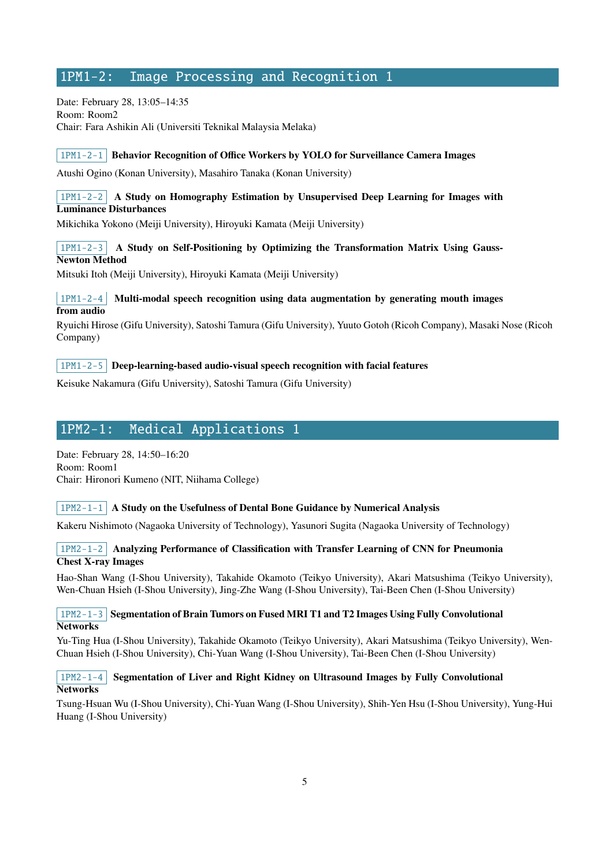# <span id="page-4-0"></span>1PM1-2: Image Processing and Recognition 1

Date: February 28, 13:05–14:35 Room: Room2 Chair: Fara Ashikin Ali (Universiti Teknikal Malaysia Melaka)

#### $1$ PM1-2-1 Behavior Recognition of Office Workers by YOLO for Surveillance Camera Images

Atushi Ogino (Konan University), Masahiro Tanaka (Konan University)

## $1PM1-2-2$  A Study on Homography Estimation by Unsupervised Deep Learning for Images with Luminance Disturbances

Mikichika Yokono (Meiji University), Hiroyuki Kamata (Meiji University)

# $1PM1-2-3$  A Study on Self-Positioning by Optimizing the Transformation Matrix Using Gauss-Newton Method

Mitsuki Itoh (Meiji University), Hiroyuki Kamata (Meiji University)

## $1PM1-2-4$  Multi-modal speech recognition using data augmentation by generating mouth images from audio

Ryuichi Hirose (Gifu University), Satoshi Tamura (Gifu University), Yuuto Gotoh (Ricoh Company), Masaki Nose (Ricoh Company)

## $\vert$  1PM1-2-5 Deep-learning-based audio-visual speech recognition with facial features

Keisuke Nakamura (Gifu University), Satoshi Tamura (Gifu University)

# <span id="page-4-1"></span>1PM2-1: Medical Applications 1

Date: February 28, 14:50–16:20 Room: Room1 Chair: Hironori Kumeno (NIT, Niihama College)

## $1$ PM2-1-1 A Study on the Usefulness of Dental Bone Guidance by Numerical Analysis

Kakeru Nishimoto (Nagaoka University of Technology), Yasunori Sugita (Nagaoka University of Technology)

## 1PM2-1-2 Analyzing Performance of Classification with Transfer Learning of CNN for Pneumonia Chest X-ray Images

Hao-Shan Wang (I-Shou University), Takahide Okamoto (Teikyo University), Akari Matsushima (Teikyo University), Wen-Chuan Hsieh (I-Shou University), Jing-Zhe Wang (I-Shou University), Tai-Been Chen (I-Shou University)

## $1PM2-1-3$  Segmentation of Brain Tumors on Fused MRI T1 and T2 Images Using Fully Convolutional **Networks**

Yu-Ting Hua (I-Shou University), Takahide Okamoto (Teikyo University), Akari Matsushima (Teikyo University), Wen-Chuan Hsieh (I-Shou University), Chi-Yuan Wang (I-Shou University), Tai-Been Chen (I-Shou University)

## $1PM2-1-4$  Segmentation of Liver and Right Kidney on Ultrasound Images by Fully Convolutional **Networks**

Tsung-Hsuan Wu (I-Shou University), Chi-Yuan Wang (I-Shou University), Shih-Yen Hsu (I-Shou University), Yung-Hui Huang (I-Shou University)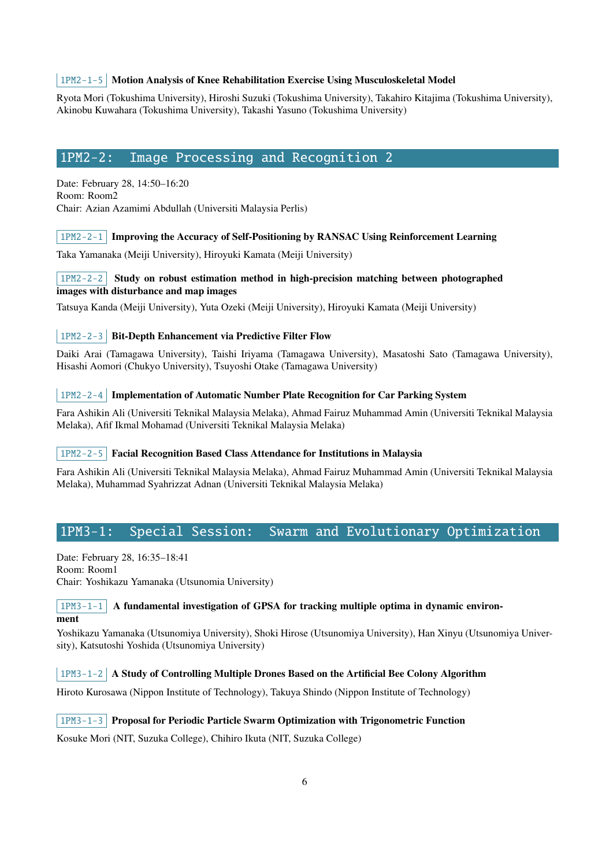#### 1PM2-1-5 Motion Analysis of Knee Rehabilitation Exercise Using Musculoskeletal Model

Ryota Mori (Tokushima University), Hiroshi Suzuki (Tokushima University), Takahiro Kitajima (Tokushima University), Akinobu Kuwahara (Tokushima University), Takashi Yasuno (Tokushima University)

# <span id="page-5-0"></span>1PM2-2: Image Processing and Recognition 2

Date: February 28, 14:50–16:20 Room: Room2 Chair: Azian Azamimi Abdullah (Universiti Malaysia Perlis)

#### $1$ PM2-2-1 Improving the Accuracy of Self-Positioning by RANSAC Using Reinforcement Learning

Taka Yamanaka (Meiji University), Hiroyuki Kamata (Meiji University)

# 1PM2-2-2 Study on robust estimation method in high-precision matching between photographed images with disturbance and map images

Tatsuya Kanda (Meiji University), Yuta Ozeki (Meiji University), Hiroyuki Kamata (Meiji University)

## 1PM2-2-3 Bit-Depth Enhancement via Predictive Filter Flow

Daiki Arai (Tamagawa University), Taishi Iriyama (Tamagawa University), Masatoshi Sato (Tamagawa University), Hisashi Aomori (Chukyo University), Tsuyoshi Otake (Tamagawa University)

#### $1PM2-2-4$  Implementation of Automatic Number Plate Recognition for Car Parking System

Fara Ashikin Ali (Universiti Teknikal Malaysia Melaka), Ahmad Fairuz Muhammad Amin (Universiti Teknikal Malaysia Melaka), Afif Ikmal Mohamad (Universiti Teknikal Malaysia Melaka)

#### 1PM2-2-5 Facial Recognition Based Class Attendance for Institutions in Malaysia

Fara Ashikin Ali (Universiti Teknikal Malaysia Melaka), Ahmad Fairuz Muhammad Amin (Universiti Teknikal Malaysia Melaka), Muhammad Syahrizzat Adnan (Universiti Teknikal Malaysia Melaka)

# <span id="page-5-1"></span>1PM3-1: Special Session: Swarm and Evolutionary Optimization

Date: February 28, 16:35–18:41 Room: Room1 Chair: Yoshikazu Yamanaka (Utsunomia University)

#### $1PM3-1-1$  A fundamental investigation of GPSA for tracking multiple optima in dynamic environment

Yoshikazu Yamanaka (Utsunomiya University), Shoki Hirose (Utsunomiya University), Han Xinyu (Utsunomiya University), Katsutoshi Yoshida (Utsunomiya University)

## $1PM3-1-2$  A Study of Controlling Multiple Drones Based on the Artificial Bee Colony Algorithm

Hiroto Kurosawa (Nippon Institute of Technology), Takuya Shindo (Nippon Institute of Technology)

# $\lceil 1PM3-1-3 \rceil$  Proposal for Periodic Particle Swarm Optimization with Trigonometric Function

Kosuke Mori (NIT, Suzuka College), Chihiro Ikuta (NIT, Suzuka College)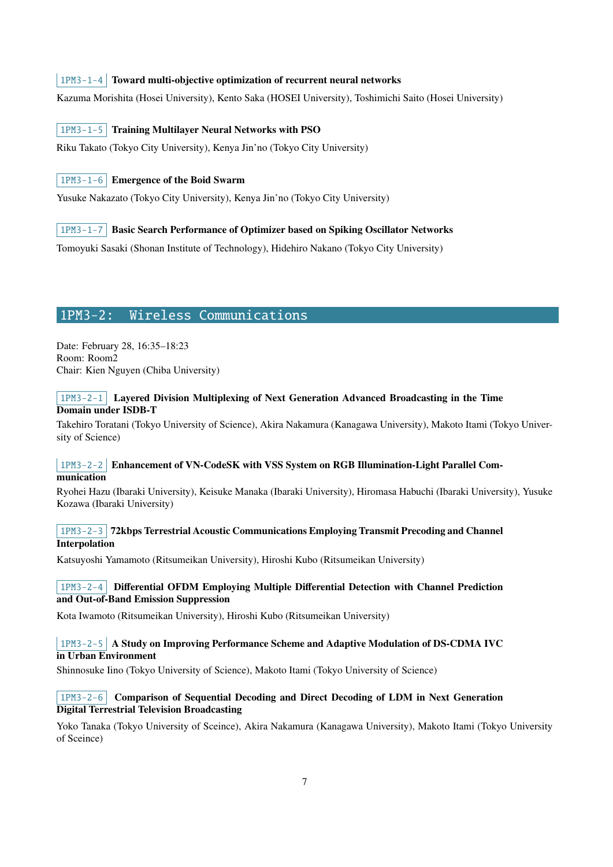## $1PM3-1-4$  Toward multi-objective optimization of recurrent neural networks

Kazuma Morishita (Hosei University), Kento Saka (HOSEI University), Toshimichi Saito (Hosei University)

#### 1PM3-1-5 Training Multilayer Neural Networks with PSO

Riku Takato (Tokyo City University), Kenya Jin'no (Tokyo City University)

## 1PM3-1-6 Emergence of the Boid Swarm

Yusuke Nakazato (Tokyo City University), Kenya Jin'no (Tokyo City University)

#### 1PM3-1-7 Basic Search Performance of Optimizer based on Spiking Oscillator Networks

Tomoyuki Sasaki (Shonan Institute of Technology), Hidehiro Nakano (Tokyo City University)

# <span id="page-6-0"></span>1PM3-2: Wireless Communications

Date: February 28, 16:35–18:23 Room: Room2 Chair: Kien Nguyen (Chiba University)

#### 1PM3-2-1 Layered Division Multiplexing of Next Generation Advanced Broadcasting in the Time Domain under ISDB-T

Takehiro Toratani (Tokyo University of Science), Akira Nakamura (Kanagawa University), Makoto Itami (Tokyo University of Science)

#### 1PM3-2-2 Enhancement of VN-CodeSK with VSS System on RGB Illumination-Light Parallel Communication

Ryohei Hazu (Ibaraki University), Keisuke Manaka (Ibaraki University), Hiromasa Habuchi (Ibaraki University), Yusuke Kozawa (Ibaraki University)

#### 1PM3-2-3 72kbps Terrestrial Acoustic Communications Employing Transmit Precoding and Channel Interpolation

Katsuyoshi Yamamoto (Ritsumeikan University), Hiroshi Kubo (Ritsumeikan University)

## 1PM3-2-4 Differential OFDM Employing Multiple Differential Detection with Channel Prediction and Out-of-Band Emission Suppression

Kota Iwamoto (Ritsumeikan University), Hiroshi Kubo (Ritsumeikan University)

#### 1PM3-2-5 A Study on Improving Performance Scheme and Adaptive Modulation of DS-CDMA IVC in Urban Environment

Shinnosuke Iino (Tokyo University of Science), Makoto Itami (Tokyo University of Science)

#### 1PM3-2-6 Comparison of Sequential Decoding and Direct Decoding of LDM in Next Generation Digital Terrestrial Television Broadcasting

Yoko Tanaka (Tokyo University of Sceince), Akira Nakamura (Kanagawa University), Makoto Itami (Tokyo University of Sceince)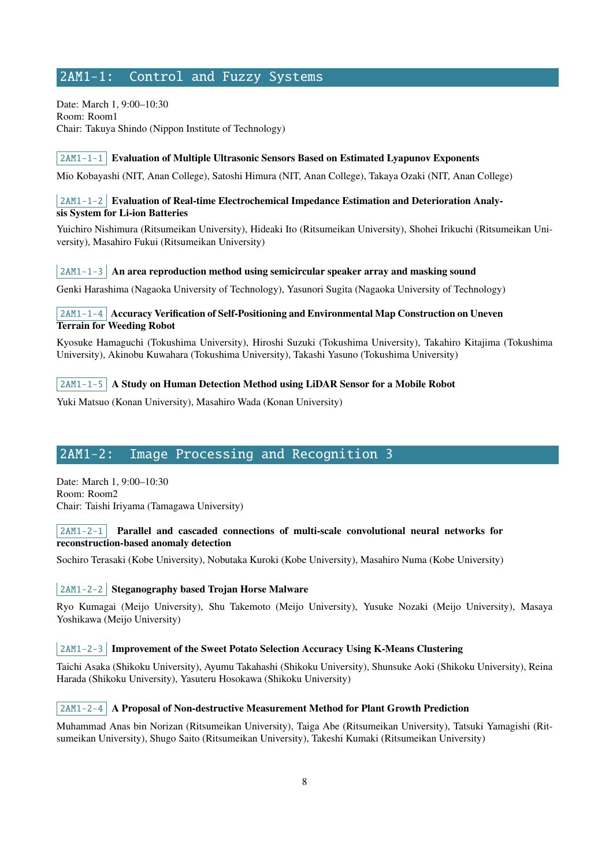# <span id="page-7-0"></span>2AM1-1: Control and Fuzzy Systems

Date: March 1, 9:00–10:30 Room: Room1 Chair: Takuya Shindo (Nippon Institute of Technology)

#### $\mid$  2AM1-1-1 Evaluation of Multiple Ultrasonic Sensors Based on Estimated Lyapunov Exponents

Mio Kobayashi (NIT, Anan College), Satoshi Himura (NIT, Anan College), Takaya Ozaki (NIT, Anan College)

## 2AM1-1-2 Evaluation of Real-time Electrochemical Impedance Estimation and Deterioration Analysis System for Li-ion Batteries

Yuichiro Nishimura (Ritsumeikan University), Hideaki Ito (Ritsumeikan University), Shohei Irikuchi (Ritsumeikan University), Masahiro Fukui (Ritsumeikan University)

#### $2AM1-1-3$  An area reproduction method using semicircular speaker array and masking sound

Genki Harashima (Nagaoka University of Technology), Yasunori Sugita (Nagaoka University of Technology)

## 2AM1-1-4 Accuracy Verification of Self-Positioning and Environmental Map Construction on Uneven Terrain for Weeding Robot

Kyosuke Hamaguchi (Tokushima University), Hiroshi Suzuki (Tokushima University), Takahiro Kitajima (Tokushima University), Akinobu Kuwahara (Tokushima University), Takashi Yasuno (Tokushima University)

#### $\vert$  2AM1-1-5  $\vert$  A Study on Human Detection Method using LiDAR Sensor for a Mobile Robot

Yuki Matsuo (Konan University), Masahiro Wada (Konan University)

# <span id="page-7-1"></span>2AM1-2: Image Processing and Recognition 3

Date: March 1, 9:00–10:30 Room: Room2 Chair: Taishi Iriyama (Tamagawa University)

#### $2AM1-2-1$  Parallel and cascaded connections of multi-scale convolutional neural networks for reconstruction-based anomaly detection

Sochiro Terasaki (Kobe University), Nobutaka Kuroki (Kobe University), Masahiro Numa (Kobe University)

#### 2AM1-2-2 Steganography based Trojan Horse Malware

Ryo Kumagai (Meijo University), Shu Takemoto (Meijo University), Yusuke Nozaki (Meijo University), Masaya Yoshikawa (Meijo University)

## | 2AM1-2-3 | Improvement of the Sweet Potato Selection Accuracy Using K-Means Clustering

Taichi Asaka (Shikoku University), Ayumu Takahashi (Shikoku University), Shunsuke Aoki (Shikoku University), Reina Harada (Shikoku University), Yasuteru Hosokawa (Shikoku University)

#### $\sim$  2AM1-2-4 A Proposal of Non-destructive Measurement Method for Plant Growth Prediction

Muhammad Anas bin Norizan (Ritsumeikan University), Taiga Abe (Ritsumeikan University), Tatsuki Yamagishi (Ritsumeikan University), Shugo Saito (Ritsumeikan University), Takeshi Kumaki (Ritsumeikan University)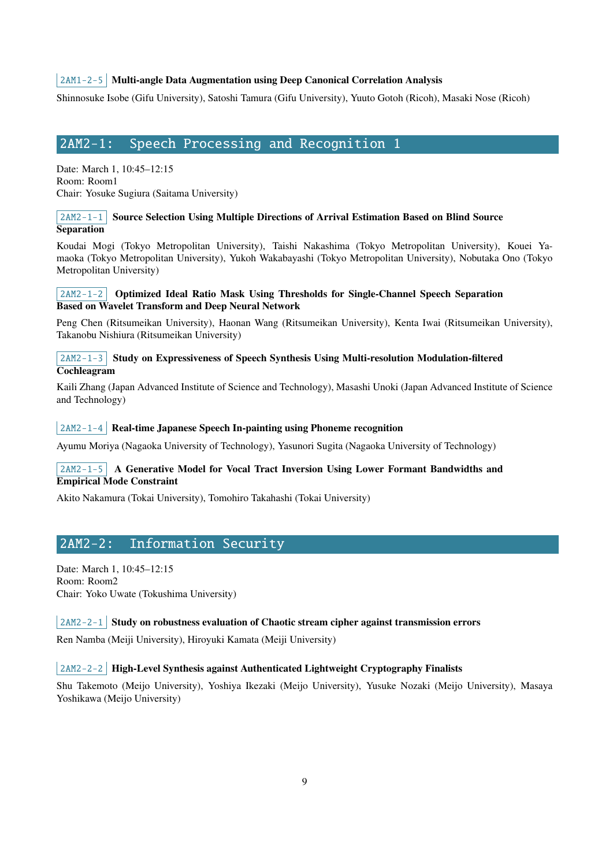# $2AM1-2-5$  Multi-angle Data Augmentation using Deep Canonical Correlation Analysis

Shinnosuke Isobe (Gifu University), Satoshi Tamura (Gifu University), Yuuto Gotoh (Ricoh), Masaki Nose (Ricoh)

# <span id="page-8-0"></span>2AM2-1: Speech Processing and Recognition 1

Date: March 1, 10:45–12:15 Room: Room1 Chair: Yosuke Sugiura (Saitama University)

## 2AM2-1-1 Source Selection Using Multiple Directions of Arrival Estimation Based on Blind Source **Separation**

Koudai Mogi (Tokyo Metropolitan University), Taishi Nakashima (Tokyo Metropolitan University), Kouei Yamaoka (Tokyo Metropolitan University), Yukoh Wakabayashi (Tokyo Metropolitan University), Nobutaka Ono (Tokyo Metropolitan University)

#### 2AM2-1-2 Optimized Ideal Ratio Mask Using Thresholds for Single-Channel Speech Separation Based on Wavelet Transform and Deep Neural Network

Peng Chen (Ritsumeikan University), Haonan Wang (Ritsumeikan University), Kenta Iwai (Ritsumeikan University), Takanobu Nishiura (Ritsumeikan University)

## $2AM2-1-3$  Study on Expressiveness of Speech Synthesis Using Multi-resolution Modulation-filtered Cochleagram

Kaili Zhang (Japan Advanced Institute of Science and Technology), Masashi Unoki (Japan Advanced Institute of Science and Technology)

#### $2AM2-1-4$  Real-time Japanese Speech In-painting using Phoneme recognition

Ayumu Moriya (Nagaoka University of Technology), Yasunori Sugita (Nagaoka University of Technology)

# $2AM2-1-5$  A Generative Model for Vocal Tract Inversion Using Lower Formant Bandwidths and Empirical Mode Constraint

Akito Nakamura (Tokai University), Tomohiro Takahashi (Tokai University)

# 2AM2-2: Information Security

Date: March 1, 10:45–12:15 Room: Room2 Chair: Yoko Uwate (Tokushima University)

#### $2AM2-2-1$  Study on robustness evaluation of Chaotic stream cipher against transmission errors

Ren Namba (Meiji University), Hiroyuki Kamata (Meiji University)

#### $\vert$  2AM2-2-2 High-Level Synthesis against Authenticated Lightweight Cryptography Finalists

Shu Takemoto (Meijo University), Yoshiya Ikezaki (Meijo University), Yusuke Nozaki (Meijo University), Masaya Yoshikawa (Meijo University)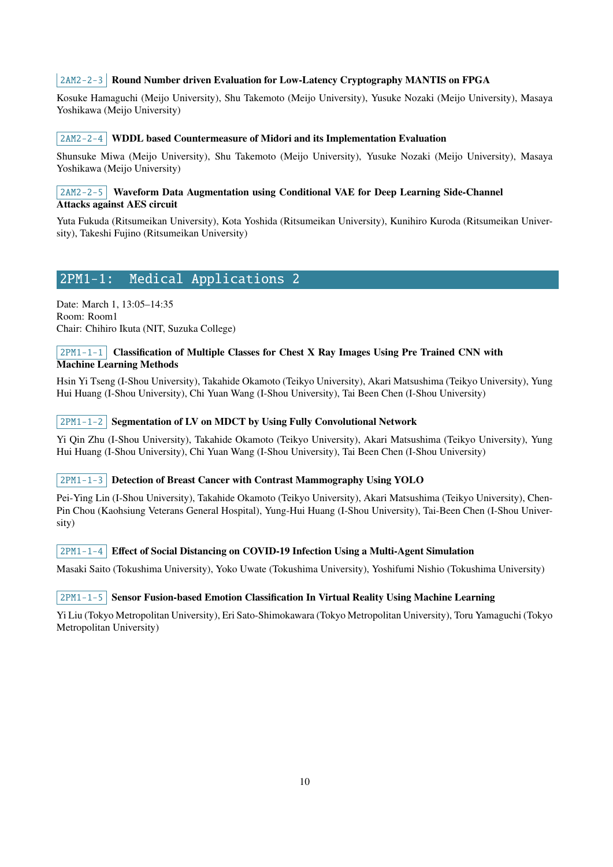#### 2AM2-2-3 Round Number driven Evaluation for Low-Latency Cryptography MANTIS on FPGA

Kosuke Hamaguchi (Meijo University), Shu Takemoto (Meijo University), Yusuke Nozaki (Meijo University), Masaya Yoshikawa (Meijo University)

#### $2AM2-2-4$  WDDL based Countermeasure of Midori and its Implementation Evaluation

Shunsuke Miwa (Meijo University), Shu Takemoto (Meijo University), Yusuke Nozaki (Meijo University), Masaya Yoshikawa (Meijo University)

#### $2AM2-2-5$  Waveform Data Augmentation using Conditional VAE for Deep Learning Side-Channel Attacks against AES circuit

Yuta Fukuda (Ritsumeikan University), Kota Yoshida (Ritsumeikan University), Kunihiro Kuroda (Ritsumeikan University), Takeshi Fujino (Ritsumeikan University)

# <span id="page-9-0"></span>2PM1-1: Medical Applications 2

Date: March 1, 13:05–14:35 Room: Room1 Chair: Chihiro Ikuta (NIT, Suzuka College)

#### $2PM1-1-1$  Classification of Multiple Classes for Chest X Ray Images Using Pre Trained CNN with Machine Learning Methods

Hsin Yi Tseng (I-Shou University), Takahide Okamoto (Teikyo University), Akari Matsushima (Teikyo University), Yung Hui Huang (I-Shou University), Chi Yuan Wang (I-Shou University), Tai Been Chen (I-Shou University)

## 2PM1-1-2 Segmentation of LV on MDCT by Using Fully Convolutional Network

Yi Qin Zhu (I-Shou University), Takahide Okamoto (Teikyo University), Akari Matsushima (Teikyo University), Yung Hui Huang (I-Shou University), Chi Yuan Wang (I-Shou University), Tai Been Chen (I-Shou University)

#### 2PM1-1-3 Detection of Breast Cancer with Contrast Mammography Using YOLO

Pei-Ying Lin (I-Shou University), Takahide Okamoto (Teikyo University), Akari Matsushima (Teikyo University), Chen-Pin Chou (Kaohsiung Veterans General Hospital), Yung-Hui Huang (I-Shou University), Tai-Been Chen (I-Shou University)

#### $2PM1-1-4$  Effect of Social Distancing on COVID-19 Infection Using a Multi-Agent Simulation

Masaki Saito (Tokushima University), Yoko Uwate (Tokushima University), Yoshifumi Nishio (Tokushima University)

#### $2PM1-1-5$  Sensor Fusion-based Emotion Classification In Virtual Reality Using Machine Learning

Yi Liu (Tokyo Metropolitan University), Eri Sato-Shimokawara (Tokyo Metropolitan University), Toru Yamaguchi (Tokyo Metropolitan University)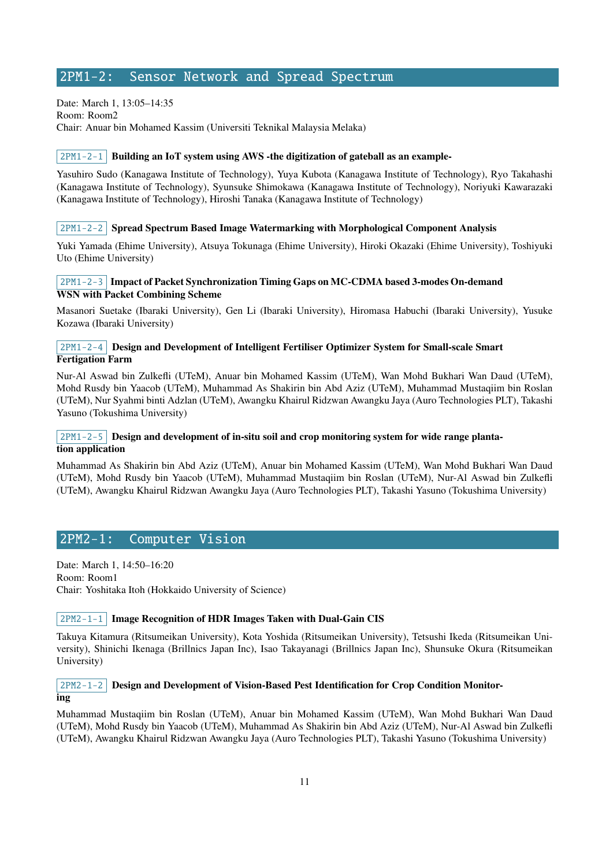# <span id="page-10-0"></span>2PM1-2: Sensor Network and Spread Spectrum

Date: March 1, 13:05–14:35 Room: Room2 Chair: Anuar bin Mohamed Kassim (Universiti Teknikal Malaysia Melaka)

#### $\lceil 2PM1-2-1 \rceil$  Building an IoT system using AWS -the digitization of gateball as an example-

Yasuhiro Sudo (Kanagawa Institute of Technology), Yuya Kubota (Kanagawa Institute of Technology), Ryo Takahashi (Kanagawa Institute of Technology), Syunsuke Shimokawa (Kanagawa Institute of Technology), Noriyuki Kawarazaki (Kanagawa Institute of Technology), Hiroshi Tanaka (Kanagawa Institute of Technology)

#### $2PM1-2-2$  Spread Spectrum Based Image Watermarking with Morphological Component Analysis

Yuki Yamada (Ehime University), Atsuya Tokunaga (Ehime University), Hiroki Okazaki (Ehime University), Toshiyuki Uto (Ehime University)

#### 2PM1-2-3 Impact of Packet Synchronization Timing Gaps on MC-CDMA based 3-modes On-demand WSN with Packet Combining Scheme

Masanori Suetake (Ibaraki University), Gen Li (Ibaraki University), Hiromasa Habuchi (Ibaraki University), Yusuke Kozawa (Ibaraki University)

## 2PM1-2-4 Design and Development of Intelligent Fertiliser Optimizer System for Small-scale Smart Fertigation Farm

Nur-Al Aswad bin Zulkefli (UTeM), Anuar bin Mohamed Kassim (UTeM), Wan Mohd Bukhari Wan Daud (UTeM), Mohd Rusdy bin Yaacob (UTeM), Muhammad As Shakirin bin Abd Aziz (UTeM), Muhammad Mustaqiim bin Roslan (UTeM), Nur Syahmi binti Adzlan (UTeM), Awangku Khairul Ridzwan Awangku Jaya (Auro Technologies PLT), Takashi Yasuno (Tokushima University)

# $2PM1-2-5$  Design and development of in-situ soil and crop monitoring system for wide range plantation application

Muhammad As Shakirin bin Abd Aziz (UTeM), Anuar bin Mohamed Kassim (UTeM), Wan Mohd Bukhari Wan Daud (UTeM), Mohd Rusdy bin Yaacob (UTeM), Muhammad Mustaqiim bin Roslan (UTeM), Nur-Al Aswad bin Zulkefli (UTeM), Awangku Khairul Ridzwan Awangku Jaya (Auro Technologies PLT), Takashi Yasuno (Tokushima University)

# <span id="page-10-1"></span>2PM2-1: Computer Vision

Date: March 1, 14:50–16:20 Room: Room1 Chair: Yoshitaka Itoh (Hokkaido University of Science)

## 2PM2-1-1 Image Recognition of HDR Images Taken with Dual-Gain CIS

Takuya Kitamura (Ritsumeikan University), Kota Yoshida (Ritsumeikan University), Tetsushi Ikeda (Ritsumeikan University), Shinichi Ikenaga (Brillnics Japan Inc), Isao Takayanagi (Brillnics Japan Inc), Shunsuke Okura (Ritsumeikan University)

## 2PM2-1-2 Design and Development of Vision-Based Pest Identification for Crop Condition Monitoring

Muhammad Mustaqiim bin Roslan (UTeM), Anuar bin Mohamed Kassim (UTeM), Wan Mohd Bukhari Wan Daud (UTeM), Mohd Rusdy bin Yaacob (UTeM), Muhammad As Shakirin bin Abd Aziz (UTeM), Nur-Al Aswad bin Zulkefli (UTeM), Awangku Khairul Ridzwan Awangku Jaya (Auro Technologies PLT), Takashi Yasuno (Tokushima University)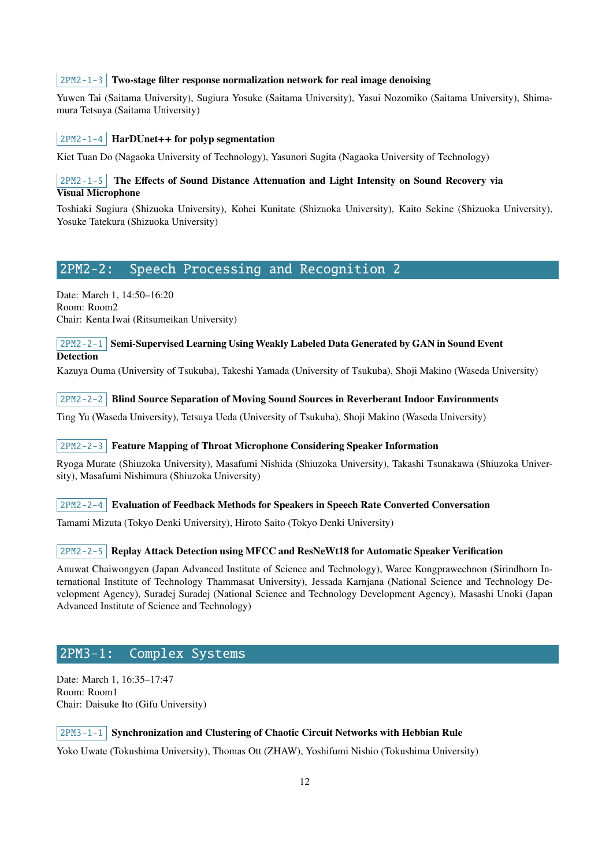#### $2PM2-1-3$  Two-stage filter response normalization network for real image denoising

Yuwen Tai (Saitama University), Sugiura Yosuke (Saitama University), Yasui Nozomiko (Saitama University), Shimamura Tetsuya (Saitama University)

#### $|2PM2-1-4|$  HarDUnet++ for polyp segmentation

Kiet Tuan Do (Nagaoka University of Technology), Yasunori Sugita (Nagaoka University of Technology)

# $2PM2-1-5$  The Effects of Sound Distance Attenuation and Light Intensity on Sound Recovery via Visual Microphone

Toshiaki Sugiura (Shizuoka University), Kohei Kunitate (Shizuoka University), Kaito Sekine (Shizuoka University), Yosuke Tatekura (Shizuoka University)

# <span id="page-11-0"></span>2PM2-2: Speech Processing and Recognition 2

Date: March 1, 14:50–16:20 Room: Room2 Chair: Kenta Iwai (Ritsumeikan University)

#### $2PM2-2-1$  Semi-Supervised Learning Using Weakly Labeled Data Generated by GAN in Sound Event **Detection**

Kazuya Ouma (University of Tsukuba), Takeshi Yamada (University of Tsukuba), Shoji Makino (Waseda University)

2PM2-2-2 Blind Source Separation of Moving Sound Sources in Reverberant Indoor Environments

Ting Yu (Waseda University), Tetsuya Ueda (University of Tsukuba), Shoji Makino (Waseda University)

#### $2PM2-2-3$  Feature Mapping of Throat Microphone Considering Speaker Information

Ryoga Murate (Shiuzoka University), Masafumi Nishida (Shiuzoka University), Takashi Tsunakawa (Shiuzoka University), Masafumi Nishimura (Shiuzoka University)

 $2PM2-2-4$  Evaluation of Feedback Methods for Speakers in Speech Rate Converted Conversation

Tamami Mizuta (Tokyo Denki University), Hiroto Saito (Tokyo Denki University)

#### 2PM2-2-5 Replay Attack Detection using MFCC and ResNeWt18 for Automatic Speaker Verification

Anuwat Chaiwongyen (Japan Advanced Institute of Science and Technology), Waree Kongprawechnon (Sirindhorn International Institute of Technology Thammasat University), Jessada Karnjana (National Science and Technology Development Agency), Suradej Suradej (National Science and Technology Development Agency), Masashi Unoki (Japan Advanced Institute of Science and Technology)

# 2PM3-1: Complex Systems

Date: March 1, 16:35–17:47 Room: Room1 Chair: Daisuke Ito (Gifu University)

#### $2PM3-1-1$  Synchronization and Clustering of Chaotic Circuit Networks with Hebbian Rule

Yoko Uwate (Tokushima University), Thomas Ott (ZHAW), Yoshifumi Nishio (Tokushima University)